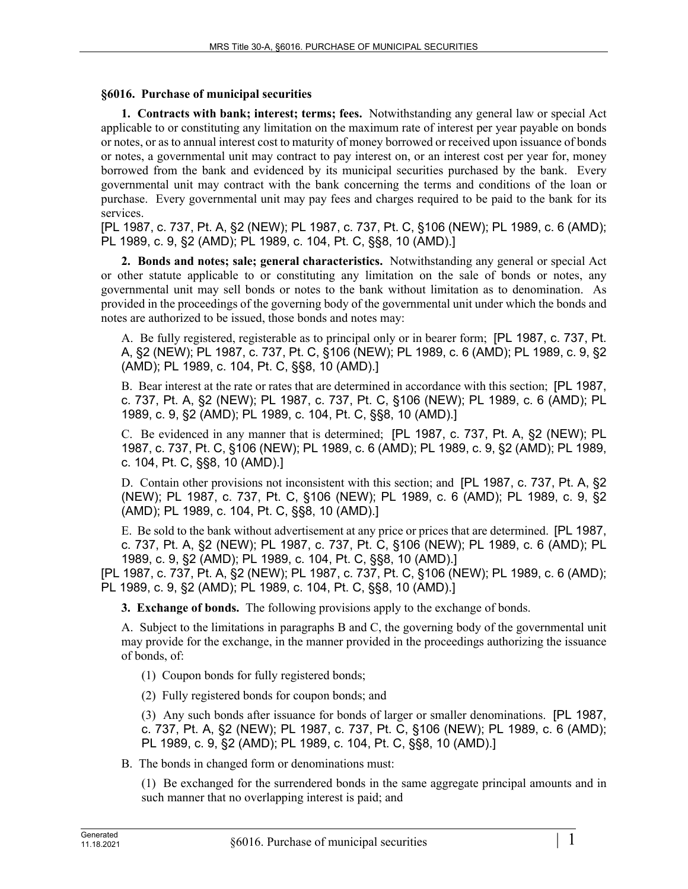## **§6016. Purchase of municipal securities**

**1. Contracts with bank; interest; terms; fees.** Notwithstanding any general law or special Act applicable to or constituting any limitation on the maximum rate of interest per year payable on bonds or notes, or as to annual interest cost to maturity of money borrowed or received upon issuance of bonds or notes, a governmental unit may contract to pay interest on, or an interest cost per year for, money borrowed from the bank and evidenced by its municipal securities purchased by the bank. Every governmental unit may contract with the bank concerning the terms and conditions of the loan or purchase. Every governmental unit may pay fees and charges required to be paid to the bank for its services.

[PL 1987, c. 737, Pt. A, §2 (NEW); PL 1987, c. 737, Pt. C, §106 (NEW); PL 1989, c. 6 (AMD); PL 1989, c. 9, §2 (AMD); PL 1989, c. 104, Pt. C, §§8, 10 (AMD).]

**2. Bonds and notes; sale; general characteristics.** Notwithstanding any general or special Act or other statute applicable to or constituting any limitation on the sale of bonds or notes, any governmental unit may sell bonds or notes to the bank without limitation as to denomination. As provided in the proceedings of the governing body of the governmental unit under which the bonds and notes are authorized to be issued, those bonds and notes may:

A. Be fully registered, registerable as to principal only or in bearer form; [PL 1987, c. 737, Pt. A, §2 (NEW); PL 1987, c. 737, Pt. C, §106 (NEW); PL 1989, c. 6 (AMD); PL 1989, c. 9, §2 (AMD); PL 1989, c. 104, Pt. C, §§8, 10 (AMD).]

B. Bear interest at the rate or rates that are determined in accordance with this section; [PL 1987, c. 737, Pt. A, §2 (NEW); PL 1987, c. 737, Pt. C, §106 (NEW); PL 1989, c. 6 (AMD); PL 1989, c. 9, §2 (AMD); PL 1989, c. 104, Pt. C, §§8, 10 (AMD).]

C. Be evidenced in any manner that is determined; [PL 1987, c. 737, Pt. A, §2 (NEW); PL 1987, c. 737, Pt. C, §106 (NEW); PL 1989, c. 6 (AMD); PL 1989, c. 9, §2 (AMD); PL 1989, c. 104, Pt. C, §§8, 10 (AMD).]

D. Contain other provisions not inconsistent with this section; and [PL 1987, c. 737, Pt. A, §2 (NEW); PL 1987, c. 737, Pt. C, §106 (NEW); PL 1989, c. 6 (AMD); PL 1989, c. 9, §2 (AMD); PL 1989, c. 104, Pt. C, §§8, 10 (AMD).]

E. Be sold to the bank without advertisement at any price or prices that are determined. [PL 1987, c. 737, Pt. A, §2 (NEW); PL 1987, c. 737, Pt. C, §106 (NEW); PL 1989, c. 6 (AMD); PL 1989, c. 9, §2 (AMD); PL 1989, c. 104, Pt. C, §§8, 10 (AMD).]

[PL 1987, c. 737, Pt. A, §2 (NEW); PL 1987, c. 737, Pt. C, §106 (NEW); PL 1989, c. 6 (AMD); PL 1989, c. 9, §2 (AMD); PL 1989, c. 104, Pt. C, §§8, 10 (AMD).]

**3. Exchange of bonds.** The following provisions apply to the exchange of bonds.

A. Subject to the limitations in paragraphs B and C, the governing body of the governmental unit may provide for the exchange, in the manner provided in the proceedings authorizing the issuance of bonds, of:

(1) Coupon bonds for fully registered bonds;

(2) Fully registered bonds for coupon bonds; and

(3) Any such bonds after issuance for bonds of larger or smaller denominations. [PL 1987, c. 737, Pt. A, §2 (NEW); PL 1987, c. 737, Pt. C, §106 (NEW); PL 1989, c. 6 (AMD); PL 1989, c. 9, §2 (AMD); PL 1989, c. 104, Pt. C, §§8, 10 (AMD).]

B. The bonds in changed form or denominations must:

(1) Be exchanged for the surrendered bonds in the same aggregate principal amounts and in such manner that no overlapping interest is paid; and